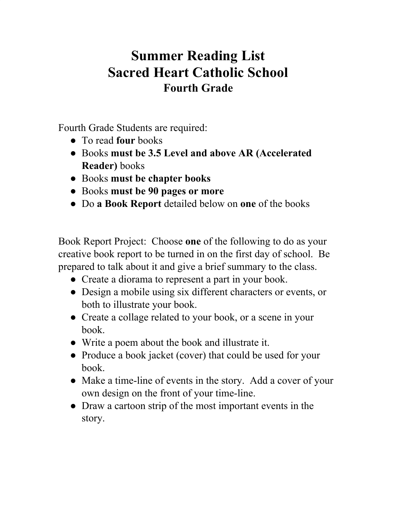## **Summer Reading List Sacred Heart Catholic School Fourth Grade**

Fourth Grade Students are required:

- To read **four** books
- Books **must be 3.5 Level and above AR (Accelerated Reader)** books
- Books **must be chapter books**
- Books **must be 90 pages or more**
- Do **a Book Report** detailed below on **one** of the books

Book Report Project: Choose **one** of the following to do as your creative book report to be turned in on the first day of school. Be prepared to talk about it and give a brief summary to the class.

- Create a diorama to represent a part in your book.
- Design a mobile using six different characters or events, or both to illustrate your book.
- Create a collage related to your book, or a scene in your book.
- Write a poem about the book and illustrate it.
- Produce a book jacket (cover) that could be used for your book.
- Make a time-line of events in the story. Add a cover of your own design on the front of your time-line.
- Draw a cartoon strip of the most important events in the story.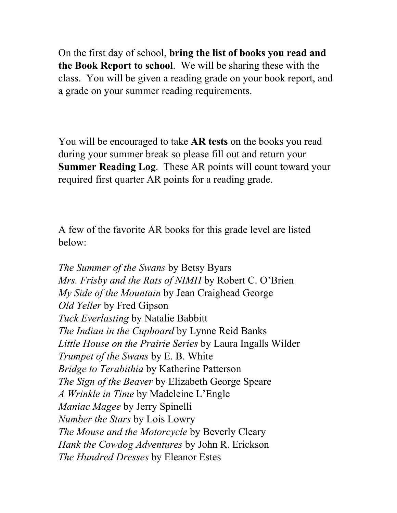On the first day of school, **bring the list of books you read and the Book Report to school**. We will be sharing these with the class. You will be given a reading grade on your book report, and a grade on your summer reading requirements.

You will be encouraged to take **AR tests** on the books you read during your summer break so please fill out and return your **Summer Reading Log**. These AR points will count toward your required first quarter AR points for a reading grade.

A few of the favorite AR books for this grade level are listed below:

*The Summer of the Swans* by Betsy Byars *Mrs. Frisby and the Rats of NIMH* by Robert C. O'Brien *My Side of the Mountain* by Jean Craighead George *Old Yeller* by Fred Gipson *Tuck Everlasting* by Natalie Babbitt *The Indian in the Cupboard* by Lynne Reid Banks *Little House on the Prairie Series* by Laura Ingalls Wilder *Trumpet of the Swans* by E. B. White *Bridge to Terabithia* by Katherine Patterson *The Sign of the Beaver* by Elizabeth George Speare *A Wrinkle in Time* by Madeleine L'Engle *Maniac Magee* by Jerry Spinelli *Number the Stars* by Lois Lowry *The Mouse and the Motorcycle* by Beverly Cleary *Hank the Cowdog Adventures* by John R. Erickson *The Hundred Dresses* by Eleanor Estes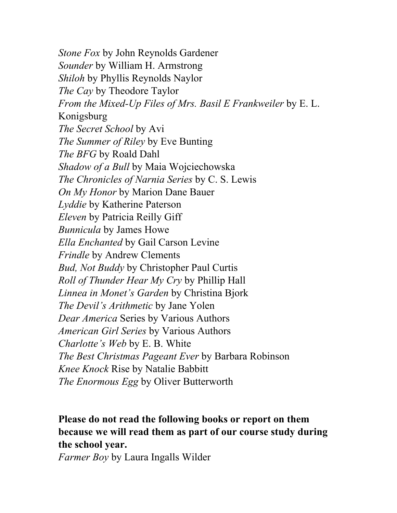*Stone Fox* by John Reynolds Gardener *Sounder* by William H. Armstrong *Shiloh* by Phyllis Reynolds Naylor *The Cay* by Theodore Taylor *From the Mixed-Up Files of Mrs. Basil E Frankweiler* by E. L. Konigsburg *The Secret School* by Avi *The Summer of Riley* by Eve Bunting *The BFG* by Roald Dahl *Shadow of a Bull* by Maia Wojciechowska *The Chronicles of Narnia Series* by C. S. Lewis *On My Honor* by Marion Dane Bauer *Lyddie* by Katherine Paterson *Eleven* by Patricia Reilly Giff *Bunnicula* by James Howe *Ella Enchanted* by Gail Carson Levine *Frindle* by Andrew Clements *Bud, Not Buddy* by Christopher Paul Curtis *Roll of Thunder Hear My Cry* by Phillip Hall *Linnea in Monet's Garden* by Christina Bjork *The Devil's Arithmetic* by Jane Yolen *Dear America* Series by Various Authors *American Girl Series* by Various Authors *Charlotte's Web* by E. B. White *The Best Christmas Pageant Ever* by Barbara Robinson *Knee Knock* Rise by Natalie Babbitt *The Enormous Egg* by Oliver Butterworth

## **Please do not read the following books or report on them because we will read them as part of our course study during the school year.**

*Farmer Boy* by Laura Ingalls Wilder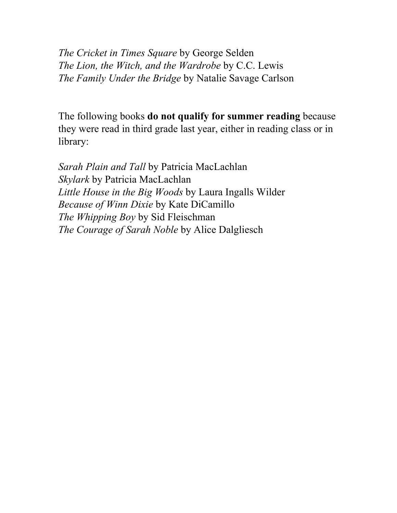*The Cricket in Times Square* by George Selden *The Lion, the Witch, and the Wardrobe* by C.C. Lewis *The Family Under the Bridge* by Natalie Savage Carlson

The following books **do not qualify for summer reading** because they were read in third grade last year, either in reading class or in library:

*Sarah Plain and Tall* by Patricia MacLachlan *Skylark* by Patricia MacLachlan *Little House in the Big Woods* by Laura Ingalls Wilder *Because of Winn Dixie* by Kate DiCamillo *The Whipping Boy* by Sid Fleischman *The Courage of Sarah Noble* by Alice Dalgliesch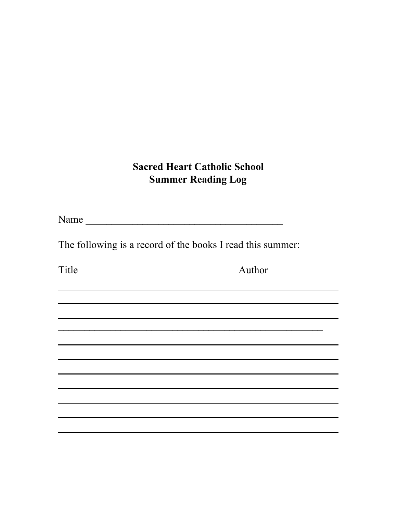## **Sacred Heart Catholic School Summer Reading Log**

**\_\_\_\_\_\_\_\_\_\_\_\_\_\_\_\_\_\_\_\_\_\_\_\_\_\_\_\_\_\_\_\_\_\_\_\_\_\_\_\_\_\_\_\_\_\_\_\_\_\_\_**

<u> 1989 - Johann Stoff, amerikansk politiker (\* 1908)</u>

Name \_\_\_\_\_\_\_\_\_\_\_\_\_\_\_\_\_\_\_\_\_\_\_\_\_\_\_\_\_\_\_\_\_\_\_\_\_\_

The following is a record of the books I read this summer:

Title Author

<u> 1989 - Johann Stoff, amerikansk politiker (\* 1908)</u>